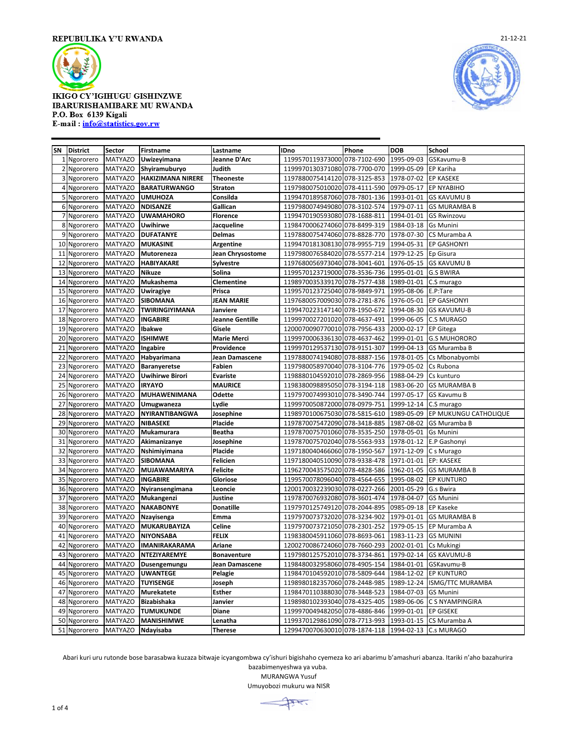



| <b>SN</b>      | <b>District</b> | Sector                           | <b>Firstname</b>                       | Lastname               | IDno                                                           | Phone        | <b>DOB</b>               | School                              |
|----------------|-----------------|----------------------------------|----------------------------------------|------------------------|----------------------------------------------------------------|--------------|--------------------------|-------------------------------------|
|                | 1 Ngororero     | <b>MATYAZO</b>                   | Uwizeyimana                            | Jeanne D'Arc           | 1199570119373000                                               | 078-7102-690 | 1995-09-03               | GSKavumu-B                          |
| 2              | Ngororero       | <b>MATYAZO</b>                   | Shyiramuburyo                          | Judith                 | 1199970130371080 078-7700-070                                  |              | 1999-05-09               | <b>EP Kariha</b>                    |
| 3              | Ngororero       | <b>MATYAZO</b>                   | <b>HAKIZIMANA NIRERE</b>               | <b>Theoneste</b>       | 1197880075414120 078-3125-853                                  |              | 1978-07-02               | <b>EP KASEKE</b>                    |
|                | 4 Ngororero     | <b>MATYAZO</b>                   | <b>BARATURWANGO</b>                    | <b>Straton</b>         | 1197980075010020 078-4111-590                                  |              | 0979-05-17               | <b>EP NYABIHO</b>                   |
| 5 <sub>l</sub> | Ngororero       | <b>MATYAZO</b>                   | <b>UMUHOZA</b>                         | Consilda               | 1199470189587060 078-7801-136                                  |              | 1993-01-01               | <b>GS KAVUMU B</b>                  |
|                | 6 Ngororero     | <b>MATYAZO</b>                   | <b>NDISANZE</b>                        | Gallican               | 1197980074949080 078-3102-574                                  |              | 1979-07-11               | <b>GS MURAMBA B</b>                 |
|                | 7 Ngororero     | <b>MATYAZO</b>                   | <b>UWAMAHORO</b>                       | <b>Florence</b>        | 1199470190593080 078-1688-811                                  |              | 1994-01-01               | <b>GS Rwinzovu</b>                  |
|                | 8 Ngororero     | <b>MATYAZO</b>                   | <b>Uwihirwe</b>                        | Jacqueline             | 1198470006274060 078-8499-319                                  |              | 1984-03-18               | <b>Gs Munini</b>                    |
|                | 9 Ngororero     | <b>MATYAZO</b>                   | <b>DUFATANYE</b>                       | <b>Delmas</b>          | 1197880075474060 078-8828-770                                  |              | 1978-07-30               | CS Muramba A                        |
|                | 10 Ngororero    | <b>MATYAZO</b>                   | <b>MUKASINE</b>                        | <b>Argentine</b>       | 1199470181308130 078-9955-719                                  |              | 1994-05-31               | <b>EP GASHONYI</b>                  |
| 11             | Ngororero       | <b>MATYAZO</b>                   | Mutoreneza                             | Jean Chrysostome       | 1197980076584020 078-5577-214                                  |              | 1979-12-25               | Ep Gisura                           |
| 12             | Ngororero       | <b>MATYAZO</b>                   | <b>HABIYAKARE</b>                      | Sylvestre              | 1197680056973040 078-3041-601                                  |              | 1976-05-15               | <b>GS KAVUMU B</b>                  |
|                | 13 Ngororero    | <b>MATYAZO</b>                   | <b>Nikuze</b>                          | Solina                 | 1199570123719000 078-3536-736                                  |              | 1995-01-01               | <b>G.S BWIRA</b>                    |
|                | 14 Ngororero    | <b>MATYAZO</b>                   | Mukashema                              | Clementine             | 1198970035339170 078-7577-438                                  |              | 1989-01-01               | C.S murago                          |
| 15             | Ngororero       | <b>MATYAZO</b>                   | <b>Uwiragiye</b>                       | Prisca                 | 1199570123725040 078-9849-971                                  |              | 1995-08-06               | E.P:Tare                            |
| 16             | Ngororero       | <b>MATYAZO</b>                   | SIBOMANA                               | <b>JEAN MARIE</b>      | 1197680057009030 078-2781-876                                  |              | 1976-05-01               | <b>EP GASHONYI</b>                  |
| 17             | Ngororero       | <b>MATYAZO</b>                   | <b>TWIRINGIYIMANA</b>                  | Janviere               | 1199470223147140 078-1950-672                                  |              | 1994-08-30               | <b>GS KAVUMU-B</b>                  |
| 18             | Ngororero       | <b>MATYAZO</b>                   | <b>INGABIRE</b>                        | <b>Jeanne Gentille</b> | 1199970027201020 078-4637-491                                  |              | 1999-06-05               | <b>C.S MURAGO</b>                   |
| 19             | Ngororero       | <b>MATYAZO</b>                   | Ibakwe                                 | Gisele                 | 1200070090770010 078-7956-433                                  |              | 2000-02-17               | <b>EP Gitega</b>                    |
|                | 20 Ngororero    | <b>MATYAZO</b>                   | <b>ISHIMWE</b>                         | <b>Marie Merci</b>     | 1199970006336130 078-4637-462                                  |              | 1999-01-01               | <b>G.S MUHORORO</b>                 |
| 21             | Ngororero       | <b>MATYAZO</b>                   | Ingabire                               | Providence             | 1199970129537130 078-9151-307                                  |              | 1999-04-13               | <b>GS Muramba B</b>                 |
| 22             | Ngororero       | <b>MATYAZO</b>                   | Habyarimana                            | Jean Damascene         | 1197880074194080 078-8887-156                                  |              | 1978-01-05               | Cs Mbonabyombi                      |
| 23             | Ngororero       | <b>MATYAZO</b>                   | Baranyeretse                           | Fabien                 | 1197980058970040 078-3104-776                                  |              | 1979-05-02               | Cs Rubona                           |
| 24             | Ngororero       | <b>MATYAZO</b>                   | <b>Uwihirwe Birori</b>                 | <b>Evariste</b>        | 1198880104592010 078-2869-956                                  |              | 1988-04-29               | Cs kunturo                          |
| 25             | Ngororero       | <b>MATYAZO</b>                   | <b>IRYAYO</b>                          | <b>MAURICE</b>         | 1198380098895050 078-3194-118                                  |              | 1983-06-20               | <b>GS MURAMBA B</b>                 |
| 26             | Ngororero       | <b>MATYAZO</b>                   | MUHAWENIMANA                           | <b>Odette</b>          | 1197970074993010 078-3490-744                                  |              | 1997-05-17               | <b>GS Kavumu B</b>                  |
| 27             | Ngororero       | <b>MATYAZO</b>                   | Umugwaneza                             | Lydie                  | 1199970050872000 078-0979-751                                  |              | 1999-12-14               | C.S murago                          |
| 28             | Ngororero       | <b>MATYAZO</b>                   | <b>NYIRANTIBANGWA</b>                  | Josephine              | 1198970100675030 078-5815-610                                  |              | 1989-05-09               | EP MUKUNGU CATHOLIQUE               |
| 29             | Ngororero       | <b>MATYAZO</b>                   | <b>NIBASEKE</b>                        | Placide                | 1197870075472090 078-3418-885                                  |              | 1987-08-02               | <b>GS Muramba B</b>                 |
|                | 30 Ngororero    | MATYAZO                          | Mukamurara                             | Beatha                 | 1197870075701060 078-3535-250                                  |              | 1978-05-01               | <b>Gs Munini</b>                    |
| 31             | Ngororero       | <b>MATYAZO</b>                   | Akimanizanye                           | Josephine              | 1197870075702040 078-5563-933                                  |              |                          | 1978-01-12 E.P Gashonyi             |
| 32             | Ngororero       | <b>MATYAZO</b>                   | Nshimiyimana                           | Placide                | 1197180040466060 078-1950-567                                  |              | 1971-12-09               | C s Murago                          |
| 33             | Ngororero       | <b>MATYAZO</b>                   | SIBOMANA                               | Felicien               | 1197180040510090 078-9338-478                                  |              | 1971-01-01               | <b>EP: KASEKE</b>                   |
| 34             | Ngororero       | <b>MATYAZO</b>                   | MUJAWAMARIYA                           | <b>Felicite</b>        | 1196270043575020 078-4828-586                                  |              | 1962-01-05               | <b>GS MURAMBA B</b>                 |
| 35             | Ngororero       | <b>MATYAZO</b>                   | <b>INGABIRE</b>                        | Gloriose               | 1199570078096040 078-4564-655                                  |              | 1995-08-02               | <b>EP KUNTURO</b>                   |
|                | 36 Ngororero    | <b>MATYAZO</b>                   | Nyiransengimana                        | Leoncie                | 1200170032239030 078-0227-266                                  |              | 2001-05-29               | G.s Bwira                           |
| 37             | Ngororero       | <b>MATYAZO</b>                   | Mukangenzi                             | Justine                | 1197870076932080 078-3601-474                                  |              | 1978-04-07               | <b>GS Munini</b>                    |
| 38             | Ngororero       | <b>MATYAZO</b>                   | <b>NAKABONYE</b>                       | <b>Donatille</b>       | 1197970125749120 078-2044-895                                  |              | 0985-09-18               | <b>EP Kaseke</b>                    |
| 39             | Ngororero       | <b>MATYAZO</b>                   | Nzayisenga                             | Emma                   | 1197970073732020 078-3234-902                                  |              | 1979-01-01               | <b>GS MURAMBA B</b>                 |
| 40             | Ngororero       | <b>MATYAZO</b>                   | MUKARUBAYIZA                           | Celine                 | 1197970073721050 078-2301-252                                  |              | 1979-05-15               | EP Muramba A                        |
| 41             | Ngororero       | <b>MATYAZO</b>                   | <b>NIYONSABA</b>                       | <b>FELIX</b>           | 1198380045911060 078-8693-061                                  |              | 1983-11-23               | <b>GS MUNINI</b>                    |
| 42             | Ngororero       | <b>MATYAZO</b>                   | <b>IMANIRAKARAMA</b>                   | Ariane                 | 1200270086724060 078-7660-293                                  |              | 2002-01-01               | Cs Mukingi                          |
| 43             | Ngororero       | <b>MATYAZO</b>                   | NTEZIYAREMYE                           | <b>Bonaventure</b>     | 1197980125752010 078-3734-861                                  |              | 1979-02-14               | <b>GS KAVUMU-B</b>                  |
| 44             | Ngororero       | <b>MATYAZO</b>                   | Dusengemungu                           | Jean Damascene         | 1198480032958060 078-4905-154                                  |              | 1984-01-01               | GSKavumu-B                          |
| 45             | Ngororero       | <b>MATYAZO</b>                   | <b>UWANTEGE</b>                        | Pelagie                | 1198470104592010 078-5809-644                                  |              | 1984-12-02               | EP KUNTURO                          |
| 46             | Ngororero       | <b>MATYAZO</b>                   | <b>TUYISENGE</b>                       | Joseph                 | 1198980182357060 078-2448-985                                  |              | 1989-12-24               | <b>ISMG/TTC MURAMBA</b>             |
| 47             | Ngororero       | <b>MATYAZO</b>                   | Murekatete                             | <b>Esther</b>          | 1198470110388030 078-3448-523                                  |              | 1984-07-03               | <b>GS Munini</b>                    |
| 48             | Ngororero       | <b>MATYAZO</b><br><b>MATYAZO</b> | <b>Bizabishaka</b><br><b>TUMUKUNDE</b> | Janvier                | 1198980102393040 078-4325-405<br>1199970049482050 078-4886-846 |              | 1989-06-06<br>1999-01-01 | C S NYAMPINGIRA<br><b>EP GISEKE</b> |
| 49             | Ngororero       | <b>MATYAZO</b>                   | <b>MANISHIMWE</b>                      | Diane<br>Lenatha       | 1199370129861090 078-7713-993                                  |              |                          | 1993-01-15 CS Muramba A             |
|                | 50 Ngororero    |                                  |                                        | <b>Therese</b>         | 1299470070630010 078-1874-118 1994-02-13 C.s MURAGO            |              |                          |                                     |
|                | 51 Ngororero    | <b>MATYAZO</b>                   | Ndayisaba                              |                        |                                                                |              |                          |                                     |

Abari kuri uru rutonde bose barasabwa kuzaza bitwaje icyangombwa cy'ishuri bigishaho cyemeza ko ari abarimu b'amashuri abanza. Itariki n'aho bazahurira bazabimenyeshwa ya vuba.

MURANGWA Yusuf

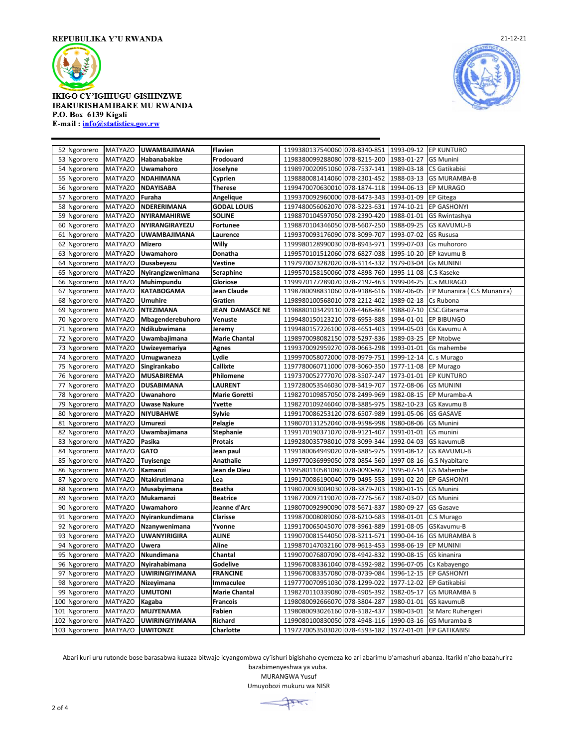



|          | 52 Ngororero           | <b>MATYAZO</b>                   | <b>UWAMBAJIMANA</b>         | <b>Flavien</b>            | 1199380137540060 078-8340-851 1993-09-12 EP KUNTURO            |                          |                                    |
|----------|------------------------|----------------------------------|-----------------------------|---------------------------|----------------------------------------------------------------|--------------------------|------------------------------------|
| 53       | Ngororero              | <b>MATYAZO</b>                   | Habanabakize                | Frodouard                 | 1198380099288080 078-8215-200                                  | 1983-01-27               | <b>GS Munini</b>                   |
| 54       | Ngororero              | <b>MATYAZO</b>                   | Uwamahoro                   | Joselyne                  | 1198970020951060 078-7537-141                                  | 1989-03-18               | CS Gatikabisi                      |
| 55       | Ngororero              | <b>MATYAZO</b>                   | <b>NDAHIMANA</b>            | Cyprien                   | 1198880081414060 078-2301-452                                  | 1988-03-13               | <b>GS MURAMBA-B</b>                |
|          | 56 Ngororero           | <b>MATYAZO</b>                   | <b>NDAYISABA</b>            | Therese                   | 1199470070630010 078-1874-118                                  | 1994-06-13               | <b>EP MURAGO</b>                   |
| 57       | Ngororero              | <b>MATYAZO</b>                   | Furaha                      | Angelique                 | 1199370092960000 078-6473-343                                  | 1993-01-09               | EP Gitega                          |
| 58       | Ngororero              | <b>MATYAZO</b>                   | NDERERIMANA                 | <b>GODAL LOUIS</b>        | 1197480056062070 078-3223-631                                  | 1974-10-21               | EP GASHONYI                        |
| 59       | Ngororero              | <b>MATYAZO</b>                   | NYIRAMAHIRWE                | <b>SOLINE</b>             | 1198870104597050 078-2390-420                                  | 1988-01-01               | GS Rwintashya                      |
| 60       | Ngororero              | <b>MATYAZO</b>                   | NYIRANGIRAYEZU              | Fortunee                  | 1198870104346050 078-5607-250                                  | 1988-09-25               | <b>GS KAVUMU-B</b>                 |
| 61       | Ngororero              | <b>MATYAZO</b>                   | <b>UWAMBAJIMANA</b>         | Laurence                  | 1199370093176090 078-3099-707                                  | 1993-07-02               | <b>GS Rususa</b>                   |
| 62       | Ngororero              | <b>MATYAZO</b>                   | Mizero                      | Willy                     | 1199980128990030 078-8943-971                                  | 1999-07-03               | Gs muhororo                        |
| 63       | Ngororero              | <b>MATYAZO</b>                   | Uwamahoro                   | Donatha                   | 1199570101512060 078-6827-038                                  | 1995-10-20               | EP kavumu B                        |
| 64       | Ngororero              | <b>MATYAZO</b>                   | Dusabeyezu                  | Vestine                   | 1197970073282020 078-3114-332                                  | 1979-03-04               | <b>Gs MUNINI</b>                   |
| 65       | Ngororero              | <b>MATYAZO</b>                   | Nyirangizwenimana           | Seraphine                 | 1199570158150060 078-4898-760                                  | 1995-11-08               | C.S Kaseke                         |
| 66       | Ngororero              | <b>MATYAZO</b>                   | Muhimpundu                  | Gloriose                  | 1199970177289070 078-2192-463                                  | 1999-04-25               | C.s MURAGO                         |
| 67       | Ngororero              | <b>MATYAZO</b>                   | <b>KATABOGAMA</b>           | Jean Claude               | 1198780098831060 078-9188-616                                  | 1987-06-05               | EP Munanira (C.S Munanira)         |
| 68       | Ngororero              | <b>MATYAZO</b>                   | <b>Umuhire</b>              | Gratien                   | 1198980100568010 078-2212-402                                  | 1989-02-18               | Cs Rubona                          |
| 69       | Ngororero              | <b>MATYAZO</b>                   | <b>NTEZIMANA</b>            | JEAN DAMASCE NE           | 1198880103429110 078-4468-864                                  | 1988-07-10               | CSC.Gitarama                       |
| 70       | Ngororero              | <b>MATYAZO</b>                   | Mbagenderebuhoro            | Venuste                   | 1199480150123210 078-6953-888                                  | 1994-01-01               | <b>EP BIBUNGO</b>                  |
| 71       | Ngororero              | <b>MATYAZO</b>                   | Ndikubwimana                | Jeremy                    | 1199480157226100 078-4651-403                                  | 1994-05-03               | Gs Kavumu A                        |
| 72       | Ngororero              | <b>MATYAZO</b>                   | Uwambajimana                | <b>Marie Chantal</b>      | 1198970098082150 078-5297-836                                  | 1989-03-25               | <b>EP Ntobwe</b>                   |
|          | 73 Ngororero           | <b>MATYAZO</b>                   | Uwizeyemariya               | Agnes                     | 1199370092959270 078-0663-298                                  | 1993-01-01               | Gs mahembe                         |
| 74       | Ngororero              | <b>MATYAZO</b>                   | Umugwaneza                  | Lydie                     | 1199970058072000 078-0979-751                                  | 1999-12-14               | C. s Murago                        |
| 75       | Ngororero              | <b>MATYAZO</b>                   | Singirankabo                | Callixte                  | 1197780060711000 078-3060-350                                  | 1977-11-08               | <b>EP Murago</b>                   |
| 76       | Ngororero              | <b>MATYAZO</b>                   | <b>MUSABIREMA</b>           | Philomene                 | 1197370052777070 078-3507-247                                  | 1973-01-01               | <b>EP KUNTURO</b>                  |
| 77       | Ngororero              | <b>MATYAZO</b>                   | <b>DUSABIMANA</b>           | <b>LAURENT</b>            | 1197280053546030 078-3419-707                                  | 1972-08-06               | <b>GS MUNINI</b>                   |
| 78       | Ngororero              | <b>MATYAZO</b>                   | Uwanahoro                   | <b>Marie Goretti</b>      | 1198270109857050 078-2499-969                                  | 1982-08-15               | EP Muramba-A                       |
| 79       | Ngororero              | <b>MATYAZO</b>                   | <b>Uwase Nakure</b>         | Yvette                    | 1198270109246040 078-3885-975                                  | 1982-10-23               | <b>GS Kavumu B</b>                 |
| 80       | Ngororero              | <b>MATYAZO</b>                   | <b>NIYUBAHWE</b>            | Sylvie                    | 1199170086253120 078-6507-989                                  | 1991-05-06               | <b>GS GASAVE</b>                   |
| 81       | Ngororero              | <b>MATYAZO</b>                   | <b>Umurezi</b>              | Pelagie                   | 1198070131252040 078-9598-998                                  | 1980-08-06               | <b>GS Munini</b>                   |
| 82       | Ngororero              | <b>MATYAZO</b>                   | Uwambajimana                | <b>Stephanie</b>          | 1199170190371070 078-9121-407                                  | 1991-01-01               | GS munini                          |
| 83       | Ngororero              | <b>MATYAZO</b>                   | Pasika                      | Protais                   | 1199280035798010 078-3099-344                                  | 1992-04-03               | GS kavumuB                         |
| 84       | Ngororero              | <b>MATYAZO</b><br><b>MATYAZO</b> | <b>GATO</b>                 | Jean paul                 | 1199180064949020 078-3885-975                                  | 1991-08-12               | <b>GS KAVUMU-B</b>                 |
| 85<br>86 | Ngororero              |                                  | <b>Tuyisenge</b><br>Kamanzi | Anathalie<br>Jean de Dieu | 1199770036999050 078-0854-560<br>1199580110581080 078-0090-862 | 1997-08-16<br>1995-07-14 | G.S Nyabitare<br><b>GS Mahembe</b> |
| 87       | Ngororero<br>Ngororero | <b>MATYAZO</b><br><b>MATYAZO</b> | Ntakirutimana               | Lea                       | 1199170086190040 079-0495-553                                  | 1991-02-20               | <b>EP GASHONYI</b>                 |
| 88       | Ngororero              | <b>MATYAZO</b>                   |                             | Beatha                    | 1198070093004030 078-3879-203                                  | 1980-01-15               | <b>GS Munini</b>                   |
| 89       | Ngororero              | <b>MATYAZO</b>                   | Musabyimana<br>Mukamanzi    | <b>Beatrice</b>           | 1198770097119070 078-7276-567                                  | 1987-03-07               | <b>GS Munini</b>                   |
| 90       | Ngororero              | <b>MATYAZO</b>                   | Uwamahoro                   | Jeanne d'Arc              | 1198070092990090 078-5671-837                                  | 1980-09-27               | GS Gasave                          |
| 91       | Ngororero              | <b>MATYAZO</b>                   | Nyirankundimana             | Clarisse                  | 1199870008089060 078-6210-683                                  | 1998-01-01               | C.S Murago                         |
| 92       | Ngororero              | <b>MATYAZO</b>                   | Nzanywenimana               | Yvonne                    | 1199170065045070 078-3961-889                                  | 1991-08-05               | GSKavumu-B                         |
| 93       | Ngororero              | <b>MATYAZO</b>                   | <b>UWANYIRIGIRA</b>         | <b>ALINE</b>              | 1199070081544050 078-3211-671                                  | 1990-04-16               | <b>GS MURAMBA B</b>                |
| 94       | Ngororero              | <b>MATYAZO</b>                   | Uwera                       | Aline                     | 1199870147032160 078-9613-453                                  | 1998-06-19               | <b>EP MUNINI</b>                   |
| 95       | Ngororero              | <b>MATYAZO</b>                   | Nkundimana                  | Chantal                   | 1199070076807090 078-4942-832                                  | 1990-08-15               | GS kinanira                        |
|          | 96 Ngororero           | <b>MATYAZO</b>                   | Nyirahabimana               | Godelive                  | 1199670083361040 078-4592-982                                  | 1996-07-05               | Cs Kabayengo                       |
| 97       | Ngororero              | <b>MATYAZO</b>                   | <b>UWIRINGIYIMANA</b>       | <b>FRANCINE</b>           | 1199670083357080 078-0739-084                                  | 1996-12-15               | EP GASHONYI                        |
| 98       | Ngororero              | <b>MATYAZO</b>                   | Nizeyimana                  | Immaculee                 | 1197770070951030 078-1299-022                                  | 1977-12-02               | EP Gatikabisi                      |
| 99       | Ngororero              | <b>MATYAZO</b>                   | <b>UMUTONI</b>              | <b>Marie Chantal</b>      | 1198270110339080 078-4905-392                                  | 1982-05-17               | <b>GS MURAMBA B</b>                |
| 100      | Ngororero              | <b>MATYAZO</b>                   | Kagaba                      | <b>Francois</b>           | 1198080092666070 078-3804-287                                  | 1980-01-01               | GS kavumuB                         |
| 101      | Ngororero              | <b>MATYAZO</b>                   | MUJYENAMA                   | Fabien                    | 1198080093026160 078-3182-437                                  | 1980-03-01               | St Marc Ruhengeri                  |
|          | 102 Ngororero          | <b>MATYAZO</b>                   | <b>UWIRINGIYIMANA</b>       | Richard                   | 1199080100830050 078-4948-116                                  |                          | 1990-03-16 GS Muramba B            |
|          | 103 Ngororero          | <b>MATYAZO</b>                   | <b>UWITONZE</b>             | Charlotte                 | 1197270053503020 078-4593-182 1972-01-01 EP GATIKABISI         |                          |                                    |

Abari kuri uru rutonde bose barasabwa kuzaza bitwaje icyangombwa cy'ishuri bigishaho cyemeza ko ari abarimu b'amashuri abanza. Itariki n'aho bazahurira bazabimenyeshwa ya vuba.

MURANGWA Yusuf

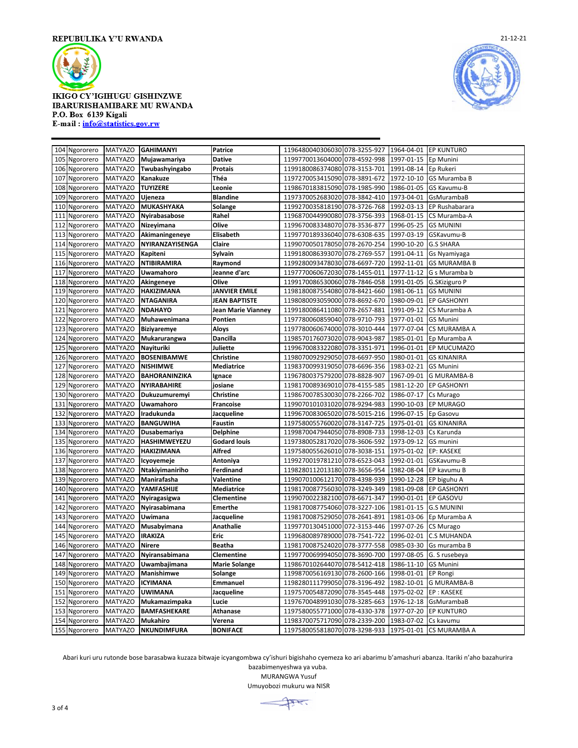



| 104 Ngororero    | <b>MATYAZO</b> | <b>GAHIMANYI</b>     | Patrice              | 1196480040306030 078-3255-927 |              | 1964-04-01 | <b>EP KUNTURO</b>   |
|------------------|----------------|----------------------|----------------------|-------------------------------|--------------|------------|---------------------|
| Ngororero<br>105 | MATYAZO        | Mujawamariya         | <b>Dative</b>        | 1199770013604000 078-4592-998 |              | 1997-01-15 | Ep Munini           |
| Ngororero<br>106 | <b>MATYAZO</b> | Twubashyingabo       | Protais              | 1199180086374080 078-3153-701 |              | 1991-08-14 | Ep Rukeri           |
| Ngororero<br>107 | <b>MATYAZO</b> | Kanakuze             | Théa                 | 1197270053415090 078-3891-672 |              | 1972-10-10 | <b>GS Muramba B</b> |
| Ngororero<br>108 | <b>MATYAZO</b> | <b>TUYIZERE</b>      | Leonie               | 1198670183815090 078-1985-990 |              | 1986-01-05 | GS Kavumu-B         |
| Ngororero<br>109 | <b>MATYAZO</b> | Ujeneza              | <b>Blandine</b>      | 1197370052683020 078-3842-410 |              | 1973-04-01 | GsMurambaB          |
| 110<br>Ngororero | <b>MATYAZO</b> | MUKASHYAKA           | Solange              | 1199270035818190 078-3726-768 |              | 1992-03-13 | EP Rushabarara      |
| 111<br>Ngororero | <b>MATYAZO</b> | Nyirabasabose        | Rahel                | 1196870044990080 078-3756-393 |              | 1968-01-15 | CS Muramba-A        |
| 112<br>Ngororero | <b>MATYAZO</b> | Nizeyimana           | Olive                | 1199670083348070 078-3536-877 |              | 1996-05-25 | <b>GS MUNINI</b>    |
| Ngororero<br>113 | <b>MATYAZO</b> | Akimaningeneye       | Elisabeth            | 1199770189336040 078-6308-635 |              | 1997-03-19 | GSKavumu-B          |
| 114<br>Ngororero | <b>MATYAZO</b> | NYIRANZAYISENGA      | Claire               | 1199070050178050 078-2670-254 |              | 1990-10-20 | <b>G.S SHARA</b>    |
| Ngororero<br>115 | <b>MATYAZO</b> | Kapiteni             | Sylvain              | 1199180086393070 078-2769-557 |              | 1991-04-11 | Gs Nyamiyaga        |
| 116 Ngororero    | <b>MATYAZO</b> | <b>NTIBIRAMIRA</b>   | Raymond              | 1199280093478030 078-6697-720 |              | 1992-11-01 | <b>GS MURAMBA B</b> |
| Ngororero<br>117 | <b>MATYAZO</b> | Uwamahoro            | Jeanne d'arc         | 1197770060672030 078-1455-011 |              | 1977-11-12 | G s Muramba b       |
| 118<br>Ngororero | <b>MATYAZO</b> | Akingeneye           | Olive                | 1199170086530060 078-7846-058 |              | 1991-01-05 | G.SKiziguro P       |
| 119 Ngororero    | <b>MATYAZO</b> | <b>HAKIZIMANA</b>    | <b>JANVIER EMILE</b> | 1198180087554080 078-8421-660 |              | 1981-06-11 | <b>GS MUNINI</b>    |
| 120<br>Ngororero | <b>MATYAZO</b> | <b>NTAGANIRA</b>     | <b>JEAN BAPTISTE</b> | 1198080093059000 078-8692-670 |              | 1980-09-01 | EP GASHONYI         |
| 121<br>Ngororero | <b>MATYAZO</b> | <b>NDAHAYO</b>       | Jean Marie Vianney   | 1199180086411080 078-2657-881 |              | 1991-09-12 | CS Muramba A        |
| 122<br>Ngororero | <b>MATYAZO</b> | Muhawenimana         | Pontien              | 1197780060859040 078-9710-793 |              | 1977-01-01 | <b>GS Munini</b>    |
| 123<br>Ngororero | <b>MATYAZO</b> | <b>Biziyaremye</b>   | Aloys                | 1197780060674000 078-3010-444 |              | 1977-07-04 | CS MURAMBA A        |
| 124<br>Ngororero | <b>MATYAZO</b> | Mukarurangwa         | <b>Dancilla</b>      | 1198570176073020              | 078-9043-987 | 1985-01-01 | Ep Muramba A        |
| 125<br>Ngororero | <b>MATYAZO</b> | Nayituriki           | Juliette             | 1199670083322080 078-3351-971 |              | 1996-01-01 | EP MUCUMAZO         |
| 126 Ngororero    | <b>MATYAZO</b> | <b>BOSENIBAMWE</b>   | Christine            | 1198070092929050 078-6697-950 |              | 1980-01-01 | <b>GS KINANIRA</b>  |
| 127<br>Ngororero | <b>MATYAZO</b> | <b>NISHIMWE</b>      | <b>Mediatrice</b>    | 1198370099319050 078-6696-356 |              | 1983-02-21 | <b>GS Munini</b>    |
| 128<br>Ngororero | <b>MATYAZO</b> | <b>BAHORANINZIKA</b> | Ignace               | 1196780037579200 078-8828-907 |              | 1967-09-01 | <b>G MURAMBA-B</b>  |
| 129<br>Ngororero | <b>MATYAZO</b> | NYIRABAHIRE          | josiane              | 1198170089369010 078-4155-585 |              | 1981-12-20 | <b>EP GASHONYI</b>  |
| 130<br>Ngororero | <b>MATYAZO</b> | Dukuzumuremyi        | Christine            | 1198670078530030 078-2266-702 |              | 1986-07-17 | Cs Murago           |
| 131<br>Ngororero | <b>MATYAZO</b> | Uwamahoro            | Francoise            | 1199070101031020              | 078-9294-983 | 1990-10-03 | EP MURAGO           |
| 132<br>Ngororero | <b>MATYAZO</b> | Iradukunda           | Jacqueline           | 1199670083065020 078-5015-216 |              | 1996-07-15 | Ep Gasovu           |
| 133<br>Ngororero | <b>MATYAZO</b> | <b>BANGUWIHA</b>     | <b>Faustin</b>       | 1197580055760020 078-3147-725 |              | 1975-01-01 | <b>GS KINANIRA</b>  |
| 134<br>Ngororero | MATYAZO        | Dusabemariya         | <b>Delphine</b>      | 1199870047944050 078-8908-733 |              | 1998-12-03 | Cs Karunda          |
| 135<br>Ngororero | <b>MATYAZO</b> | HASHIMWEYEZU         | <b>Godard louis</b>  | 1197380052817020 078-3606-592 |              | 1973-09-12 | GS munini           |
| 136<br>Ngororero | <b>MATYAZO</b> | <b>HAKIZIMANA</b>    | <b>Alfred</b>        | 1197580055626010 078-3038-151 |              | 1975-01-02 | <b>EP: KASEKE</b>   |
| Ngororero<br>137 | <b>MATYAZO</b> | Icyoyemeje           | Antoniya             | 1199270019781210 078-6523-043 |              | 1992-01-01 | GSKavumu-B          |
| 138<br>Ngororero | <b>MATYAZO</b> | Ntakiyimaniriho      | Ferdinand            | 1198280112013180 078-3656-954 |              | 1982-08-04 | EP kavumu B         |
| 139<br>Ngororero | <b>MATYAZO</b> | Manirafasha          | Valentine            | 1199070100612170 078-4398-939 |              | 1990-12-28 | EP biguhu A         |
| 140 Ngororero    | <b>MATYAZO</b> | YAMFASHIJE           | <b>Mediatrice</b>    | 1198170087756030 078-3249-349 |              | 1981-09-08 | <b>EP GASHONYI</b>  |
| 141<br>Ngororero | <b>MATYAZO</b> | Nyiragasigwa         | Clementine           | 1199070022382100 078-6671-347 |              | 1990-01-01 | EP GASOVU           |
| Ngororero<br>142 | MATYAZO        | Nyirasabimana        | Emerthe              | 1198170087754060 078-3227-106 |              | 1981-01-15 | <b>G.S MUNINI</b>   |
| 143<br>Ngororero | <b>MATYAZO</b> | Uwimana              | Jacqueline           | 1198170087529050 078-2641-891 |              | 1981-03-06 | Ep Muramba A        |
| Ngororero<br>144 | <b>MATYAZO</b> | Musabyimana          | Anathalie            | 1199770130451000 072-3153-446 |              | 1997-07-26 | CS Murago           |
| Ngororero<br>145 | <b>MATYAZO</b> | <b>IRAKIZA</b>       | Eric                 | 1199680089789000 078-7541-722 |              | 1996-02-01 | <b>C.S MUHANDA</b>  |
| Ngororero<br>146 | <b>MATYAZO</b> | <b>Nirere</b>        | Beatha               | 1198170087524020              | 078-3777-558 | 0985-03-30 | Gs muramba B        |
| 147<br>Ngororero | <b>MATYAZO</b> | Nyiransabimana       | Clementine           | 1199770069994050 078-3690-700 |              | 1997-08-05 | G. S rusebeya       |
| 148<br>Ngororero | <b>MATYAZO</b> | Uwambajimana         | <b>Marie Solange</b> | 1198670102644070 078-5412-418 |              | 1986-11-10 | <b>GS Munini</b>    |
| 149<br>Ngororero | <b>MATYAZO</b> | Manishimwe           | Solange              | 1199870056169130 078-2600-166 |              | 1998-01-01 | <b>EP Rongi</b>     |
| 150<br>Ngororero | <b>MATYAZO</b> | <b>ICYIMANA</b>      | Emmanuel             | 1198280111799050 078-3196-492 |              | 1982-10-01 | <b>G MURAMBA-B</b>  |
| 151<br>Ngororero | <b>MATYAZO</b> | <b>UWIMANA</b>       | Jacqueline           | 1197570054872090 078-3545-448 |              | 1975-02-02 | <b>EP: KASEKE</b>   |
| Ngororero<br>152 | <b>MATYAZO</b> | Mukamazimpaka        | Lucie                | 1197670048991030 078-3285-663 |              | 1976-12-18 | GsMurambaB          |
| 153<br>Ngororero | <b>MATYAZO</b> | <b>BAMFASHEKARE</b>  | <b>Athanase</b>      | 1197580055771000 078-4330-378 |              | 1977-07-20 | <b>EP KUNTURO</b>   |
| 154 Ngororero    | <b>MATYAZO</b> | Mukahiro             | Verena               | 1198370075717090 078-2339-200 |              | 1983-07-02 | Cs kavumu           |
| 155 Ngororero    | <b>MATYAZO</b> | <b>NKUNDIMFURA</b>   | <b>BONIFACE</b>      | 1197580055818070 078-3298-933 |              | 1975-01-01 | <b>CS MURAMBA A</b> |

Abari kuri uru rutonde bose barasabwa kuzaza bitwaje icyangombwa cy'ishuri bigishaho cyemeza ko ari abarimu b'amashuri abanza. Itariki n'aho bazahurira bazabimenyeshwa ya vuba.

MURANGWA Yusuf